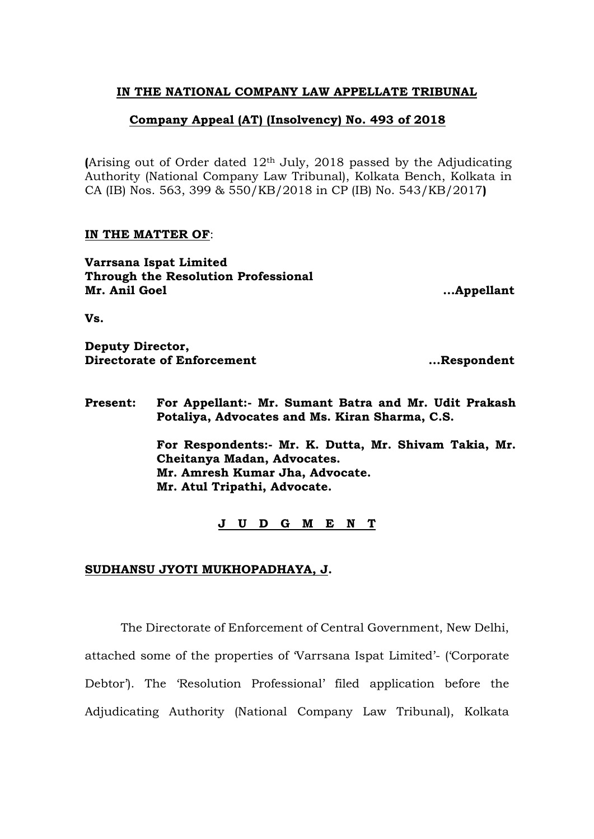## **IN THE NATIONAL COMPANY LAW APPELLATE TRIBUNAL**

## **Company Appeal (AT) (Insolvency) No. 493 of 2018**

**(**Arising out of Order dated 12th July, 2018 passed by the Adjudicating Authority (National Company Law Tribunal), Kolkata Bench, Kolkata in CA (IB) Nos. 563, 399 & 550/KB/2018 in CP (IB) No. 543/KB/2017**)**

## **IN THE MATTER OF**:

**Varrsana Ispat Limited Through the Resolution Professional Mr. Anil Goel ...Appellant**

**Vs.**

**Deputy Director, Directorate of Enforcement ....Respondent** 

**Present: For Appellant:- Mr. Sumant Batra and Mr. Udit Prakash Potaliya, Advocates and Ms. Kiran Sharma, C.S.**

> **For Respondents:- Mr. K. Dutta, Mr. Shivam Takia, Mr. Cheitanya Madan, Advocates. Mr. Amresh Kumar Jha, Advocate. Mr. Atul Tripathi, Advocate.**

> > **J U D G M E N T**

## **SUDHANSU JYOTI MUKHOPADHAYA, J.**

The Directorate of Enforcement of Central Government, New Delhi, attached some of the properties of 'Varrsana Ispat Limited'- ('Corporate Debtor'). The 'Resolution Professional' filed application before the Adjudicating Authority (National Company Law Tribunal), Kolkata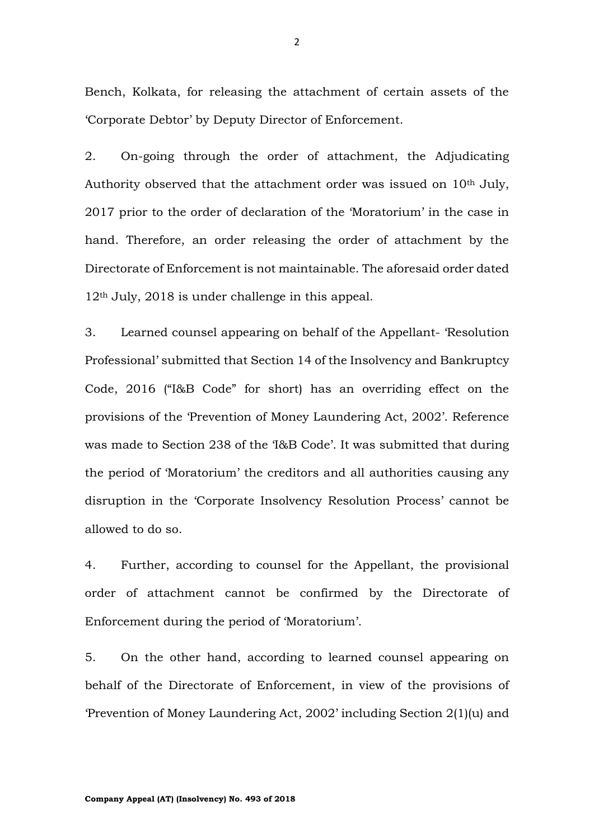Bench, Kolkata, for releasing the attachment of certain assets of the 'Corporate Debtor' by Deputy Director of Enforcement.

2. On-going through the order of attachment, the Adjudicating Authority observed that the attachment order was issued on  $10<sup>th</sup>$  July, 2017 prior to the order of declaration of the 'Moratorium' in the case in hand. Therefore, an order releasing the order of attachment by the Directorate of Enforcement is not maintainable. The aforesaid order dated 12th July, 2018 is under challenge in this appeal.

3. Learned counsel appearing on behalf of the Appellant- 'Resolution Professional' submitted that Section 14 of the Insolvency and Bankruptcy Code, 2016 ("I&B Code" for short) has an overriding effect on the provisions of the 'Prevention of Money Laundering Act, 2002'. Reference was made to Section 238 of the 'I&B Code'. It was submitted that during the period of 'Moratorium' the creditors and all authorities causing any disruption in the 'Corporate Insolvency Resolution Process' cannot be allowed to do so.

4. Further, according to counsel for the Appellant, the provisional order of attachment cannot be confirmed by the Directorate of Enforcement during the period of 'Moratorium'.

5. On the other hand, according to learned counsel appearing on behalf of the Directorate of Enforcement, in view of the provisions of 'Prevention of Money Laundering Act, 2002' including Section 2(1)(u) and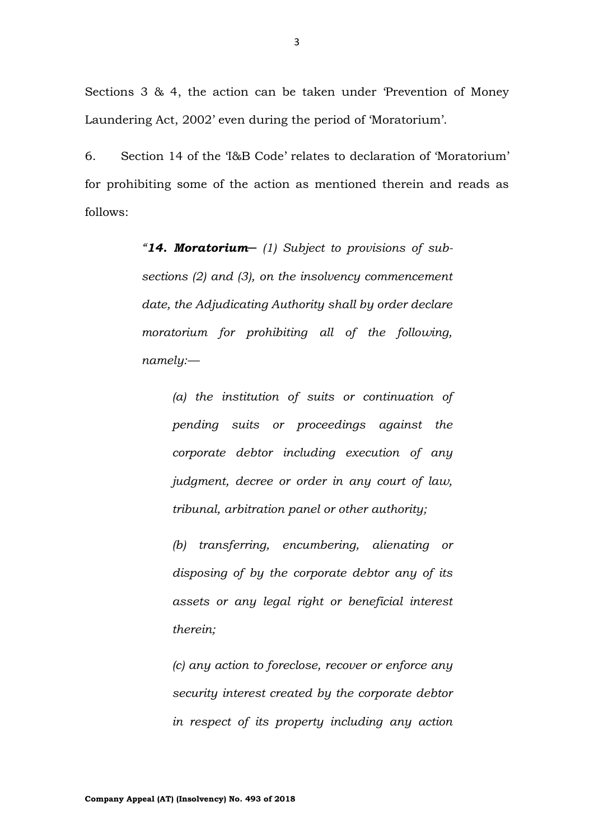Sections 3 & 4, the action can be taken under 'Prevention of Money Laundering Act, 2002' even during the period of 'Moratorium'.

6. Section 14 of the 'I&B Code' relates to declaration of 'Moratorium' for prohibiting some of the action as mentioned therein and reads as follows:

> *"14. Moratorium─ (1) Subject to provisions of subsections (2) and (3), on the insolvency commencement date, the Adjudicating Authority shall by order declare moratorium for prohibiting all of the following, namely:—*

*(a) the institution of suits or continuation of pending suits or proceedings against the corporate debtor including execution of any judgment, decree or order in any court of law, tribunal, arbitration panel or other authority;* 

*(b) transferring, encumbering, alienating or disposing of by the corporate debtor any of its assets or any legal right or beneficial interest therein;* 

*(c) any action to foreclose, recover or enforce any security interest created by the corporate debtor in respect of its property including any action*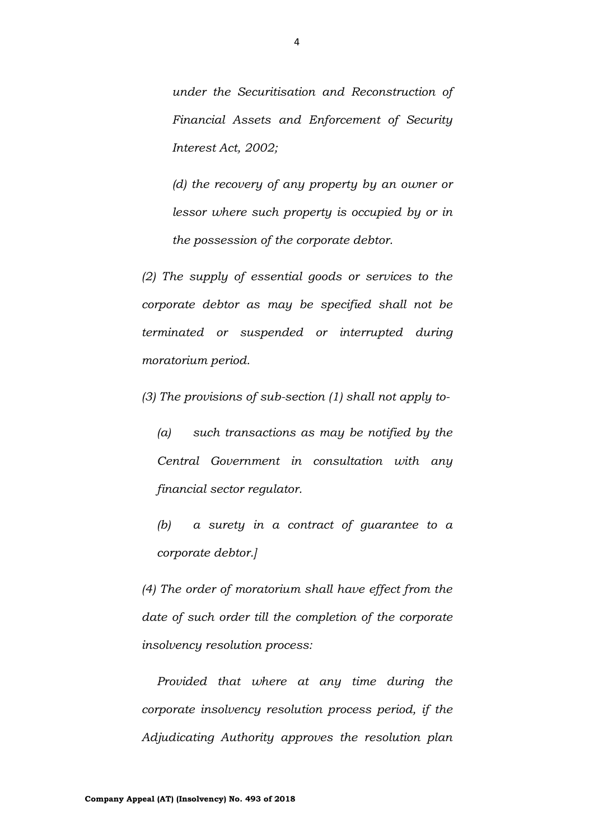*under the Securitisation and Reconstruction of Financial Assets and Enforcement of Security Interest Act, 2002;*

*(d) the recovery of any property by an owner or lessor where such property is occupied by or in the possession of the corporate debtor.* 

*(2) The supply of essential goods or services to the corporate debtor as may be specified shall not be terminated or suspended or interrupted during moratorium period.* 

*(3) The provisions of sub-section (1) shall not apply to-*

*(a) such transactions as may be notified by the Central Government in consultation with any financial sector regulator.* 

*(b) a surety in a contract of guarantee to a corporate debtor.]*

*(4) The order of moratorium shall have effect from the date of such order till the completion of the corporate insolvency resolution process:*

*Provided that where at any time during the corporate insolvency resolution process period, if the Adjudicating Authority approves the resolution plan*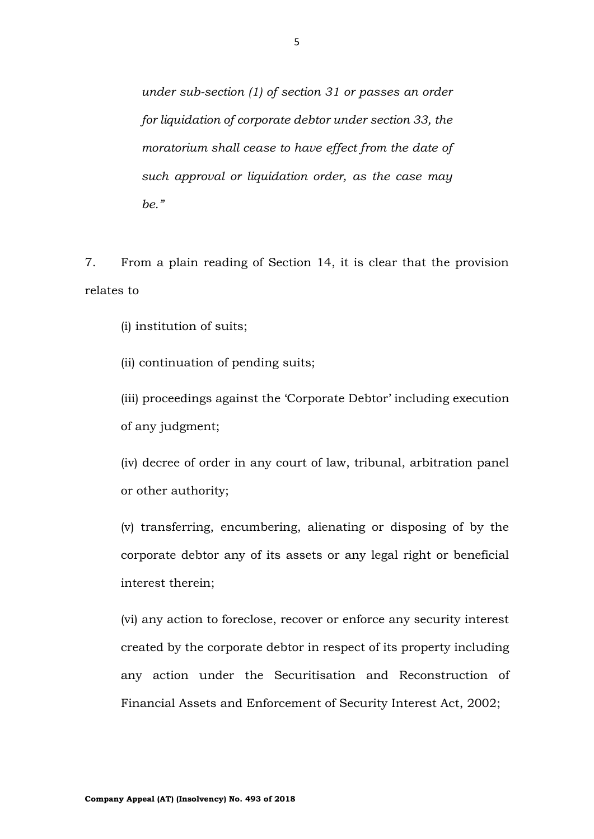*under sub-section (1) of section 31 or passes an order for liquidation of corporate debtor under section 33, the moratorium shall cease to have effect from the date of such approval or liquidation order, as the case may be."*

7. From a plain reading of Section 14, it is clear that the provision relates to

(i) institution of suits;

(ii) continuation of pending suits;

(iii) proceedings against the 'Corporate Debtor' including execution of any judgment;

(iv) decree of order in any court of law, tribunal, arbitration panel or other authority;

(v) transferring, encumbering, alienating or disposing of by the corporate debtor any of its assets or any legal right or beneficial interest therein;

(vi) any action to foreclose, recover or enforce any security interest created by the corporate debtor in respect of its property including any action under the Securitisation and Reconstruction of Financial Assets and Enforcement of Security Interest Act, 2002;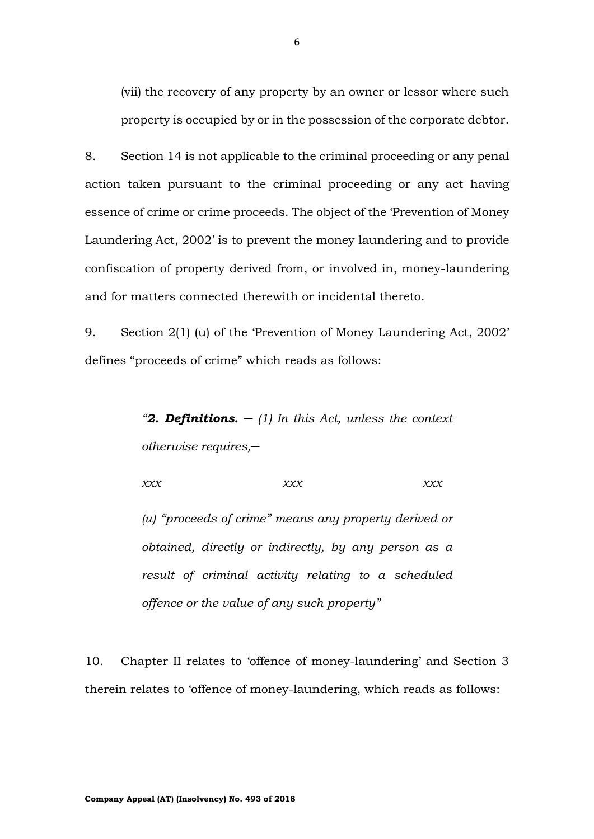(vii) the recovery of any property by an owner or lessor where such property is occupied by or in the possession of the corporate debtor.

8. Section 14 is not applicable to the criminal proceeding or any penal action taken pursuant to the criminal proceeding or any act having essence of crime or crime proceeds. The object of the 'Prevention of Money Laundering Act, 2002' is to prevent the money laundering and to provide confiscation of property derived from, or involved in, money-laundering and for matters connected therewith or incidental thereto.

9. Section 2(1) (u) of the 'Prevention of Money Laundering Act, 2002' defines "proceeds of crime" which reads as follows:

> *"2. Definitions. ─ (1) In this Act, unless the context otherwise requires,─*

*xxx xxx xxx*

*(u) "proceeds of crime" means any property derived or obtained, directly or indirectly, by any person as a result of criminal activity relating to a scheduled offence or the value of any such property"*

10. Chapter II relates to 'offence of money-laundering' and Section 3 therein relates to 'offence of money-laundering, which reads as follows: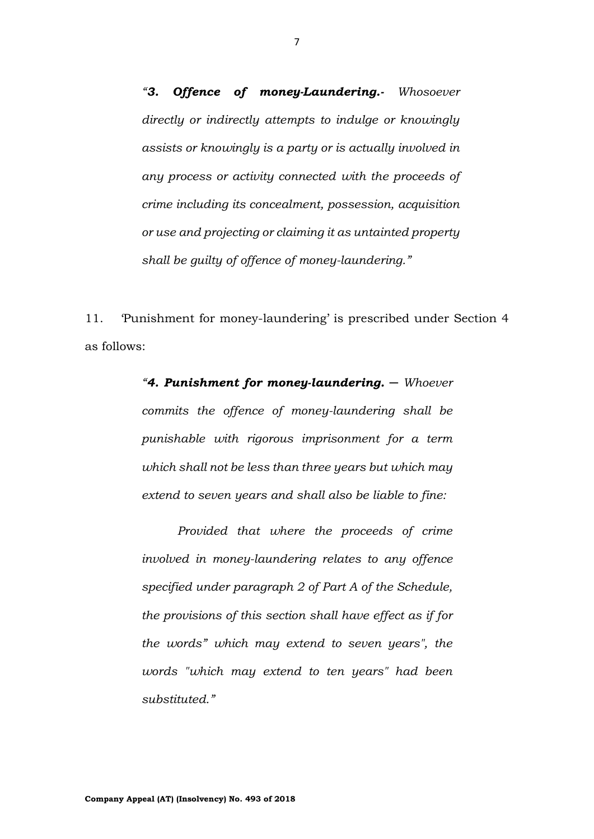*"3. Offence of money-Laundering.- Whosoever directly or indirectly attempts to indulge or knowingly assists or knowingly is a party or is actually involved in any process or activity connected with the proceeds of crime including its concealment, possession, acquisition or use and projecting or claiming it as untainted property shall be guilty of offence of money-laundering."*

11. 'Punishment for money-laundering' is prescribed under Section 4 as follows:

> *"4. Punishment for money-laundering. ─ Whoever commits the offence of money-laundering shall be punishable with rigorous imprisonment for a term which shall not be less than three years but which may extend to seven years and shall also be liable to fine:*

> *Provided that where the proceeds of crime involved in money-laundering relates to any offence specified under paragraph 2 of Part A of the Schedule, the provisions of this section shall have effect as if for the words" which may extend to seven years", the words "which may extend to ten years" had been substituted."*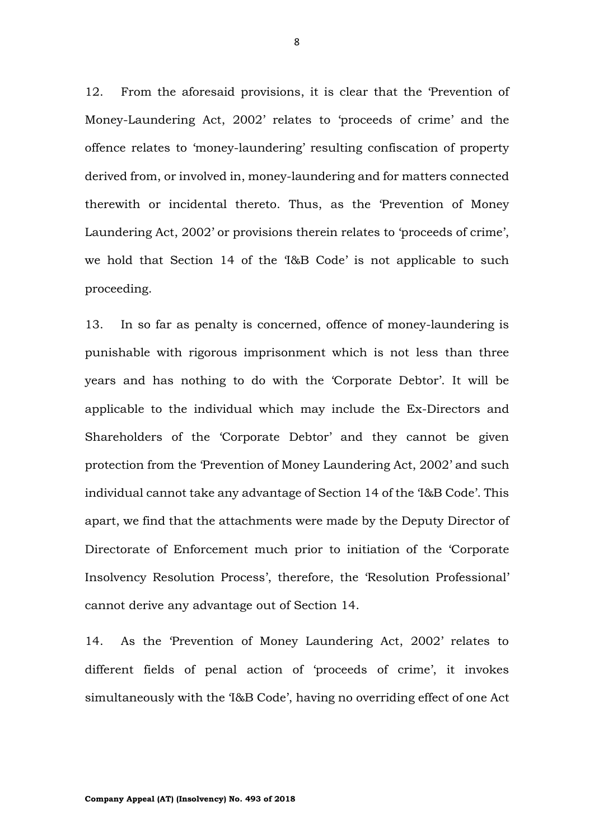12. From the aforesaid provisions, it is clear that the 'Prevention of Money-Laundering Act, 2002' relates to 'proceeds of crime' and the offence relates to 'money-laundering' resulting confiscation of property derived from, or involved in, money-laundering and for matters connected therewith or incidental thereto. Thus, as the 'Prevention of Money Laundering Act, 2002' or provisions therein relates to 'proceeds of crime', we hold that Section 14 of the 'I&B Code' is not applicable to such proceeding.

13. In so far as penalty is concerned, offence of money-laundering is punishable with rigorous imprisonment which is not less than three years and has nothing to do with the 'Corporate Debtor'. It will be applicable to the individual which may include the Ex-Directors and Shareholders of the 'Corporate Debtor' and they cannot be given protection from the 'Prevention of Money Laundering Act, 2002' and such individual cannot take any advantage of Section 14 of the 'I&B Code'. This apart, we find that the attachments were made by the Deputy Director of Directorate of Enforcement much prior to initiation of the 'Corporate Insolvency Resolution Process', therefore, the 'Resolution Professional' cannot derive any advantage out of Section 14.

14. As the 'Prevention of Money Laundering Act, 2002' relates to different fields of penal action of 'proceeds of crime', it invokes simultaneously with the 'I&B Code', having no overriding effect of one Act

8